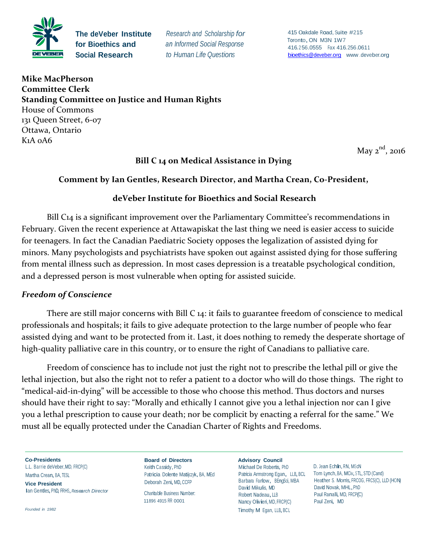

**The deVeber Institute for Bioethics and Social Research**

*Research and Scholarship for an Informed Social Response to Human Life Questions*

<sup>415</sup> 0akdale Road, Suite #215 Toronto, ON M3N 1W7 416.2 56.0555 Fax 416.256.0611 [bioethics@deveber.org w](mailto:bioethics@deveber.org)ww [.deveber.org](mailto:bioethics@deveber.org)

**Mike MacPherson Committee Clerk Standing Committee on Justice and Human Rights**  House of Commons 131 Queen Street, 6-07 Ottawa, Ontario K1A 0A6

May  $2^{nd}$ , 2016

### **Bill C 14 on Medical Assistance in Dying**

#### **Comment by Ian Gentles, Research Director, and Martha Crean, Co-President,**

#### **deVeber Institute for Bioethics and Social Research**

Bill C14 is a significant improvement over the Parliamentary Committee's recommendations in February. Given the recent experience at Attawapiskat the last thing we need is easier access to suicide for teenagers. In fact the Canadian Paediatric Society opposes the legalization of assisted dying for minors. Many psychologists and psychiatrists have spoken out against assisted dying for those suffering from mental illness such as depression. In most cases depression is a treatable psychological condition, and a depressed person is most vulnerable when opting for assisted suicide.

#### *Freedom of Conscience*

There are still major concerns with Bill C 14: it fails to guarantee freedom of conscience to medical professionals and hospitals; it fails to give adequate protection to the large number of people who fear assisted dying and want to be protected from it. Last, it does nothing to remedy the desperate shortage of high-quality palliative care in this country, or to ensure the right of Canadians to palliative care.

Freedom of conscience has to include not just the right not to prescribe the lethal pill or give the lethal injection, but also the right not to refer a patient to a doctor who will do those things. The right to "medical-aid-in-dying" will be accessible to those who choose this method. Thus doctors and nurses should have their right to say: "Morally and ethically I cannot give you a lethal injection nor can I give you a lethal prescription to cause your death; nor be complicit by enacting a referral for the same." We must all be equally protected under the Canadian Charter of Rights and Freedoms.

**Co-Presidents** L.L. Barrie deVeber,MD, FRCP(C) Martha Crean, BA, TESL **Vice President** Ian Gentles,PhD, FRHS,*Research Director*

*Founded in 1982*

**Board of Directors** Keith Cassidy, PhD Patricia Dolente Matijczyk, BA, MEd Deborah Zeni, MD, CCFP

Charitable Business Number: 11896 4915 RR 0001

**Advisory Council** Michael De Robertis, PhD Patricia Armstrong Egan, LLB, BCL Barbara Farlow, BEngSci, MBA David Mikulis, MD Robert Nadeau, LLB Nancy Olivieri, MD, FRCP(C) Timothy M Egan, LLB, BCL

D. Jean Echlin, RN, MScN Tom Lynch, BA, MCiv, STL, STD (Cand) Heather S. Morris, FRCOG, FRCS(C), LLD (HON) David Novak, MHL,PhD Paul Ranalli, MD, FRCP(C) Paul Zeni, MD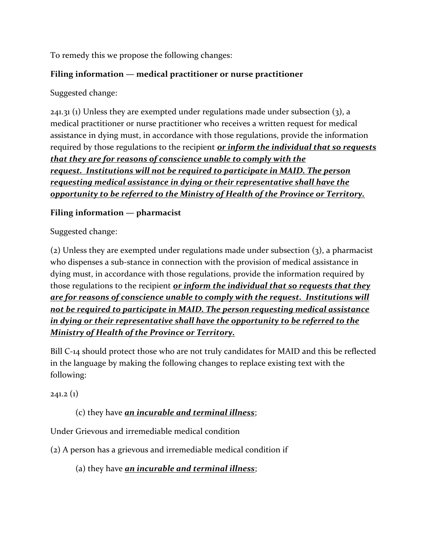To remedy this we propose the following changes:

## **Filing information — medical practitioner or nurse practitioner**

Suggested change:

 $241.31$  (1) Unless they are exempted under regulations made under subsection (3), a medical practitioner or nurse practitioner who receives a written request for medical assistance in dying must, in accordance with those regulations, provide the information required by those regulations to the recipient *or inform the individual that so requests that they are for reasons of conscience unable to comply with the request. Institutions will not be required to participate in MAID. The person requesting medical assistance in dying or their representative shall have the opportunity to be referred to the Ministry of Health of the Province or Territory.*

# **Filing information — pharmacist**

Suggested change:

(2) Unless they are exempted under regulations made under subsection (3), a pharmacist who dispenses a sub-stance in connection with the provision of medical assistance in dying must, in accordance with those regulations, provide the information required by those regulations to the recipient *or inform the individual that so requests that they are for reasons of conscience unable to comply with the request. Institutions will not be required to participate in MAID. The person requesting medical assistance in dying or their representative shall have the opportunity to be referred to the Ministry of Health of the Province or Territory.*

Bill C-14 should protect those who are not truly candidates for MAID and this be reflected in the language by making the following changes to replace existing text with the following:

 $241.2(1)$ 

# (c) they have *an incurable and terminal illness*;

Under Grievous and irremediable medical condition

(2) A person has a grievous and irremediable medical condition if

(a) they have *an incurable and terminal illness*;